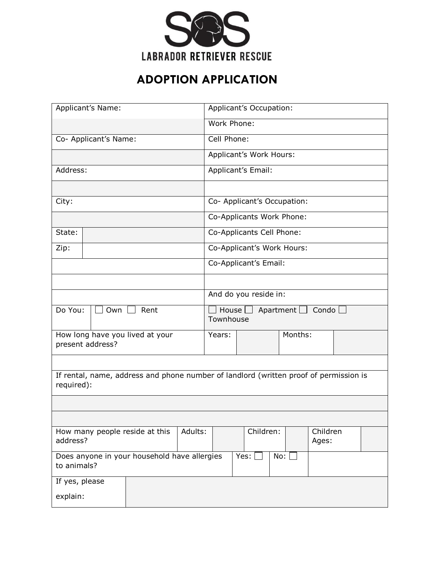

## **ADOPTION APPLICATION**

|                | Applicant's Name:     |                                                                                       |             | Applicant's Occupation:     |                  |                   |  |
|----------------|-----------------------|---------------------------------------------------------------------------------------|-------------|-----------------------------|------------------|-------------------|--|
|                |                       |                                                                                       | Work Phone: |                             |                  |                   |  |
|                | Co- Applicant's Name: |                                                                                       | Cell Phone: |                             |                  |                   |  |
|                |                       |                                                                                       |             | Applicant's Work Hours:     |                  |                   |  |
| Address:       |                       |                                                                                       |             | Applicant's Email:          |                  |                   |  |
|                |                       |                                                                                       |             |                             |                  |                   |  |
| City:          |                       |                                                                                       |             | Co- Applicant's Occupation: |                  |                   |  |
|                |                       |                                                                                       |             | Co-Applicants Work Phone:   |                  |                   |  |
| State:         |                       |                                                                                       |             | Co-Applicants Cell Phone:   |                  |                   |  |
| Zip:           |                       |                                                                                       |             | Co-Applicant's Work Hours:  |                  |                   |  |
|                |                       |                                                                                       |             | Co-Applicant's Email:       |                  |                   |  |
|                |                       |                                                                                       |             |                             |                  |                   |  |
|                |                       |                                                                                       |             | And do you reside in:       |                  |                   |  |
| Do You:        | Own                   | Rent                                                                                  | Townhouse   | House $\Box$                | Apartment $\Box$ | Condo $\lfloor$   |  |
|                | present address?      | How long have you lived at your                                                       | Years:      |                             | Months:          |                   |  |
|                |                       |                                                                                       |             |                             |                  |                   |  |
| required):     |                       | If rental, name, address and phone number of landlord (written proof of permission is |             |                             |                  |                   |  |
|                |                       |                                                                                       |             |                             |                  |                   |  |
|                |                       |                                                                                       |             |                             |                  |                   |  |
| address?       |                       | How many people reside at this<br>Adults:                                             |             | Children:                   |                  | Children<br>Ages: |  |
| to animals?    |                       | Does anyone in your household have allergies                                          |             | $Yes:$ [                    | No:              |                   |  |
| If yes, please |                       |                                                                                       |             |                             |                  |                   |  |
| explain:       |                       |                                                                                       |             |                             |                  |                   |  |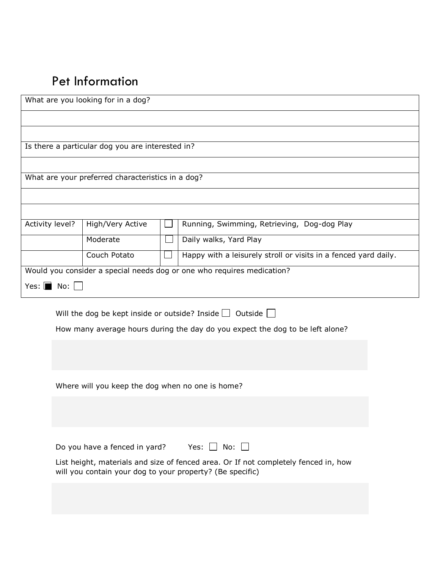## Pet Information

|                                | What are you looking for in a dog?                        |                                                                                     |  |
|--------------------------------|-----------------------------------------------------------|-------------------------------------------------------------------------------------|--|
|                                |                                                           |                                                                                     |  |
|                                |                                                           |                                                                                     |  |
|                                | Is there a particular dog you are interested in?          |                                                                                     |  |
|                                |                                                           |                                                                                     |  |
|                                | What are your preferred characteristics in a dog?         |                                                                                     |  |
|                                |                                                           |                                                                                     |  |
|                                |                                                           |                                                                                     |  |
| Activity level?                | High/Very Active                                          | Running, Swimming, Retrieving, Dog-dog Play                                         |  |
|                                | Moderate                                                  | Daily walks, Yard Play                                                              |  |
|                                | Couch Potato                                              | Happy with a leisurely stroll or visits in a fenced yard daily.                     |  |
|                                |                                                           | Would you consider a special needs dog or one who requires medication?              |  |
| Yes: $\blacksquare$ No: $\Box$ |                                                           |                                                                                     |  |
|                                |                                                           | Will the dog be kept inside or outside? Inside $\Box$ Outside $\Box$                |  |
|                                |                                                           | How many average hours during the day do you expect the dog to be left alone?       |  |
|                                |                                                           |                                                                                     |  |
|                                |                                                           |                                                                                     |  |
|                                |                                                           |                                                                                     |  |
|                                | Where will you keep the dog when no one is home?          |                                                                                     |  |
|                                |                                                           |                                                                                     |  |
|                                |                                                           |                                                                                     |  |
|                                |                                                           |                                                                                     |  |
|                                | Do you have a fenced in yard?                             | Yes: $\Box$ No: $\Box$                                                              |  |
|                                | will you contain your dog to your property? (Be specific) | List height, materials and size of fenced area. Or If not completely fenced in, how |  |
|                                |                                                           |                                                                                     |  |
|                                |                                                           |                                                                                     |  |
|                                |                                                           |                                                                                     |  |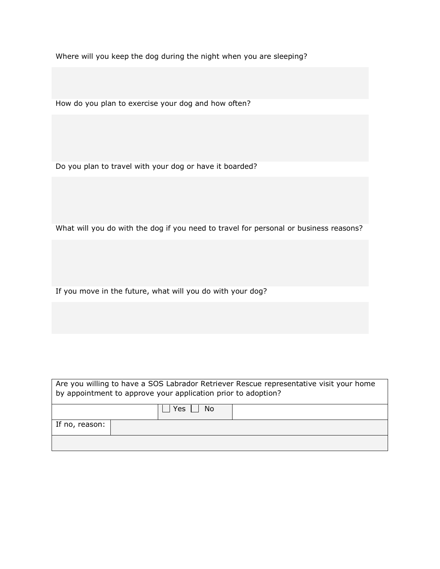Where will you keep the dog during the night when you are sleeping?

How do you plan to exercise your dog and how often?

Do you plan to travel with your dog or have it boarded?

What will you do with the dog if you need to travel for personal or business reasons?

If you move in the future, what will you do with your dog?

|                | Are you willing to have a SOS Labrador Retriever Rescue representative visit your home<br>by appointment to approve your application prior to adoption? |
|----------------|---------------------------------------------------------------------------------------------------------------------------------------------------------|
|                | No.<br>Yes                                                                                                                                              |
| If no, reason: |                                                                                                                                                         |
|                |                                                                                                                                                         |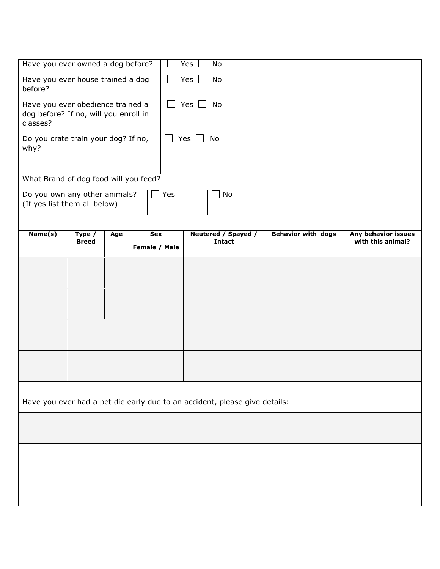| Have you ever owned a dog before?                                                      |                        |     |                      | Yes | <b>No</b>                            |                           |                                          |
|----------------------------------------------------------------------------------------|------------------------|-----|----------------------|-----|--------------------------------------|---------------------------|------------------------------------------|
| Have you ever house trained a dog<br>before?                                           |                        |     |                      | Yes | No                                   |                           |                                          |
| Have you ever obedience trained a<br>dog before? If no, will you enroll in<br>classes? |                        |     |                      | Yes | No                                   |                           |                                          |
| Do you crate train your dog? If no,<br>why?                                            |                        |     |                      | Yes | No                                   |                           |                                          |
| What Brand of dog food will you feed?                                                  |                        |     |                      |     |                                      |                           |                                          |
| Do you own any other animals?<br>(If yes list them all below)                          |                        |     | Yes                  |     | No                                   |                           |                                          |
|                                                                                        |                        |     |                      |     |                                      |                           |                                          |
| Name(s)                                                                                | Type /<br><b>Breed</b> | Age | Sex<br>Female / Male |     | Neutered / Spayed /<br><b>Intact</b> | <b>Behavior with dogs</b> | Any behavior issues<br>with this animal? |
|                                                                                        |                        |     |                      |     |                                      |                           |                                          |
|                                                                                        |                        |     |                      |     |                                      |                           |                                          |
|                                                                                        |                        |     |                      |     |                                      |                           |                                          |
|                                                                                        |                        |     |                      |     |                                      |                           |                                          |
|                                                                                        |                        |     |                      |     |                                      |                           |                                          |
|                                                                                        |                        |     |                      |     |                                      |                           |                                          |
|                                                                                        |                        |     |                      |     |                                      |                           |                                          |
|                                                                                        |                        |     |                      |     |                                      |                           |                                          |
|                                                                                        |                        |     |                      |     |                                      |                           |                                          |
|                                                                                        |                        |     |                      |     |                                      |                           |                                          |
| Have you ever had a pet die early due to an accident, please give details:             |                        |     |                      |     |                                      |                           |                                          |
|                                                                                        |                        |     |                      |     |                                      |                           |                                          |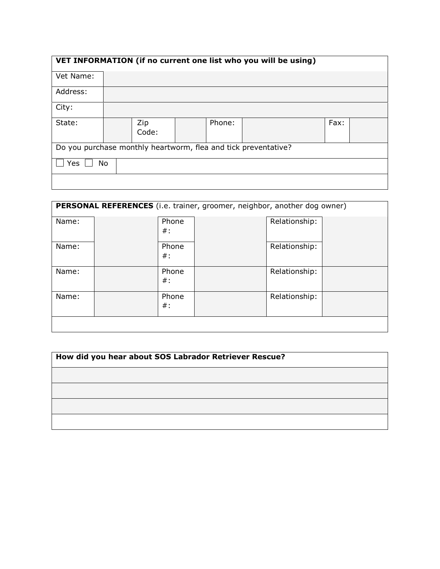|           |    |              |        | VET INFORMATION (if no current one list who you will be using) |      |  |
|-----------|----|--------------|--------|----------------------------------------------------------------|------|--|
| Vet Name: |    |              |        |                                                                |      |  |
| Address:  |    |              |        |                                                                |      |  |
| City:     |    |              |        |                                                                |      |  |
| State:    |    | Zip<br>Code: | Phone: |                                                                | Fax: |  |
|           |    |              |        | Do you purchase monthly heartworm, flea and tick preventative? |      |  |
| Yes       | No |              |        |                                                                |      |  |
|           |    |              |        |                                                                |      |  |

|       |                 | PERSONAL REFERENCES (i.e. trainer, groomer, neighbor, another dog owner) |  |
|-------|-----------------|--------------------------------------------------------------------------|--|
| Name: | Phone<br>$\#$ : | Relationship:                                                            |  |
| Name: | Phone<br>$\#$ : | Relationship:                                                            |  |
| Name: | Phone<br>$\#$ : | Relationship:                                                            |  |
| Name: | Phone<br>$\#$ : | Relationship:                                                            |  |
|       |                 |                                                                          |  |

| How did you hear about SOS Labrador Retriever Rescue? |  |  |  |  |
|-------------------------------------------------------|--|--|--|--|
|                                                       |  |  |  |  |
|                                                       |  |  |  |  |
|                                                       |  |  |  |  |
|                                                       |  |  |  |  |